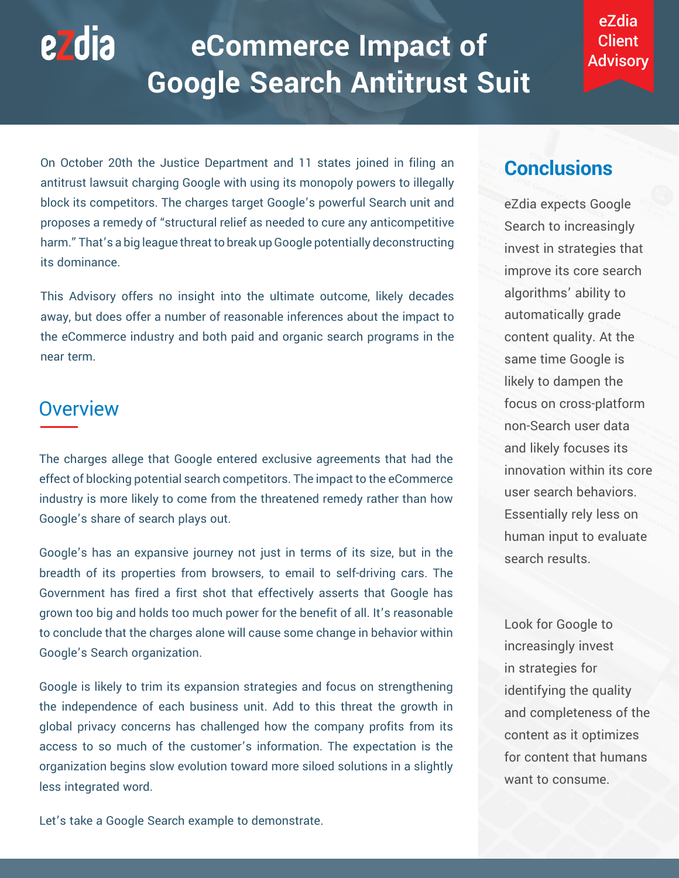# ezdia **eCommerce Impact of Google Search Antitrust Suit**

eZdia **Client** Advisory

On October 20th the Justice Department and 11 states joined in filing an antitrust lawsuit charging Google with using its monopoly powers to illegally block its competitors. The charges target Google's powerful Search unit and proposes a remedy of "structural relief as needed to cure any anticompetitive harm." That's a big league threat to break up Google potentially deconstructing its dominance.

This Advisory offers no insight into the ultimate outcome, likely decades away, but does offer a number of reasonable inferences about the impact to the eCommerce industry and both paid and organic search programs in the near term.

## **Overview**

The charges allege that Google entered exclusive agreements that had the effect of blocking potential search competitors. The impact to the eCommerce industry is more likely to come from the threatened remedy rather than how Google's share of search plays out.

Google's has an expansive journey not just in terms of its size, but in the breadth of its properties from browsers, to email to self-driving cars. The Government has fired a first shot that effectively asserts that Google has grown too big and holds too much power for the benefit of all. It's reasonable to conclude that the charges alone will cause some change in behavior within Google's Search organization.

Google is likely to trim its expansion strategies and focus on strengthening the independence of each business unit. Add to this threat the growth in global privacy concerns has challenged how the company profits from its access to so much of the customer's information. The expectation is the organization begins slow evolution toward more siloed solutions in a slightly less integrated word.

**Conclusions**

eZdia expects Google Search to increasingly invest in strategies that improve its core search algorithms' ability to automatically grade content quality. At the same time Google is likely to dampen the focus on cross-platform non-Search user data and likely focuses its innovation within its core user search behaviors. Essentially rely less on human input to evaluate search results.

Look for Google to increasingly invest in strategies for identifying the quality and completeness of the content as it optimizes for content that humans want to consume.

Let's take a Google Search example to demonstrate.